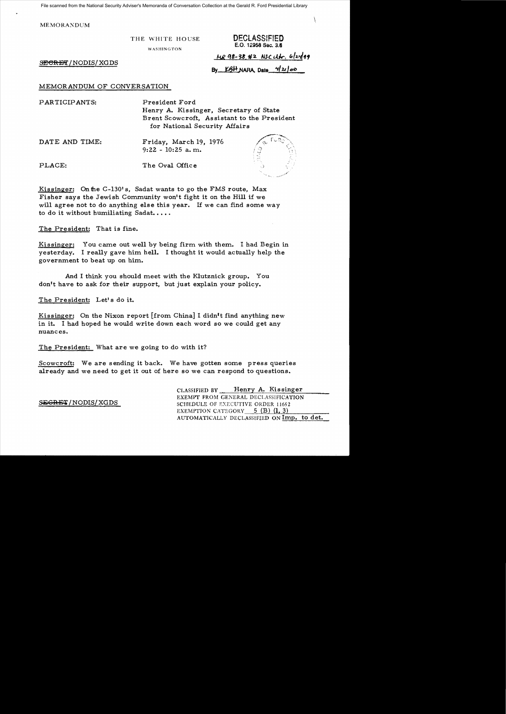File scanned from the National Security Adviser's Memoranda of Conversation Collection at the Gerald R. Ford Presidential Library

MEMORAXDUM

THE WHITE HOUSE **DECLASSIFIED** 

WASHINGTON

E.O. 12958 Sec. 3.8

, \.

SECRET/NODIS/XGDS

MR 98-38.#2 NSC Utr. 6/24/99 By KBH NARA, Date *421 00* 

## MEMORANDUM OF CONVERSATION

PLACE: The Oval Office

PARTICIPANTS: President Ford Henry A. Kissinger, Secretary of State Brent Scowcroft, Assistant to the President for National Security Affairs

DATE AND TIME: Friday, March 19, 1976 9:22 - 10:25 a. m.



Kissinger: On the  $C-130$ 's, Sadat wants to go the FMS route, Max Fisher says the Jewish Community won't fight it on the Hill if we will agree not to do anything else this year. If we can find some way to do it without humiliating Sadat.....

The President: That is fine.

Kissinger: You came out well by being firm with them. I had Begin in yesterday. I really gave him hell. I thought it would actually help the government to beat up on him.

And I think you should meet with the Klutznick group. You don't have to ask for their support, but just explain your policy.

The President: Let's do it.

Kissinger: On the Nixon report [from China] I didn't find anything new in it. I had hoped he would write down each word so we could get any nuances.

The President: What are we going to do with it?

Scowcroft: We are sending it back. We have gotten some press queries already and we need to get it out of here so we can respond to questions.

CLASSIFIED BY Henry A. Kissinger EXEMPT FROM GENERAL DECLASSIFICATION SEGRET/NODIS/XGDS SCHEDULE OF EXECUTIVE ORDER 11652 EXEMPTION CATEGORY  $5$  (B) (1, 3) AUTOMATICALLY DECLASSIFIED ON Imp. to det.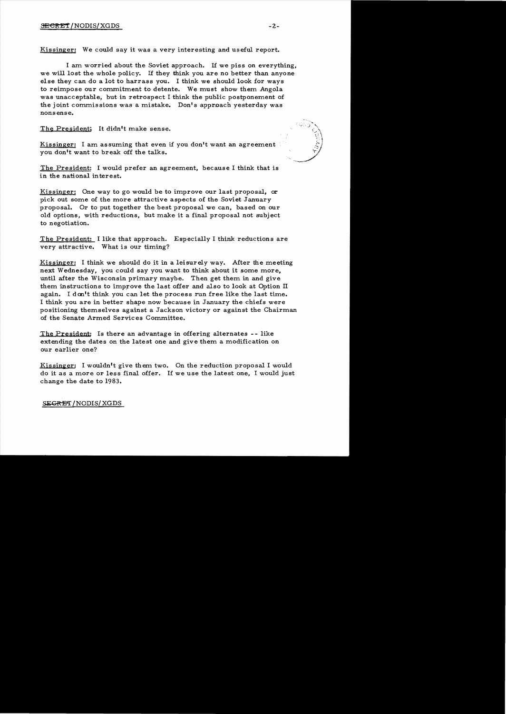Kissinger: We could say it was a very interesting and useful report.

I am worried about the Soviet approach. If we piss on everything, we will lost the whole policy. If they think you are no better than anyone else they can do a lot to harrass you. I think we should look for ways to reimpose our commitment to detente. We must show them Angola was unacceptable, but in retrospect I think the public postponement of the joint commissions was a mistake. Don's approach yesterday was nonsense.

The President: It didn't make sense.

Kissinger: I am assuming that even if you don't want an agreement you don't want to break off the talks.

The President: I would prefer an agreement, because I think that is in the national interest.

Kissinger: One way to go would be to improve our last proposal, or pick out some of the more attractive aspects of the Soviet January proposal. Or to put together the best proposal we can, based on our old options, with reductions, but make it a final proposal not subject to negotiation.

The President: I like that approach. Especially I think reductions are very attractive. What is our timing?

Kissinger: I think we should do it in a leisurely way. After the meeting next Wednesday, you could say you want to think about it some more, until after the Wisconsin primary maybe. Then get them in and give them instructions to improve the last offer and also to look at Option II again. I don't think you can let the process run free like the last time. I think you are in better shape now because in January the chiefs were positioning themselves against a Jackson victory or against the Chairman of the Senate Armed Servic es Committee.

The President: Is there an advantage in offering alternates - - like extending the dates on the latest one and give them a modification on our earlier one?

Kissinger: I wouldn't give them two. On the reduction proposal I would do it as a more or less final offer. If we use the latest one, I would just change the date to 1983.

## SEGRET/NODIS/XGDS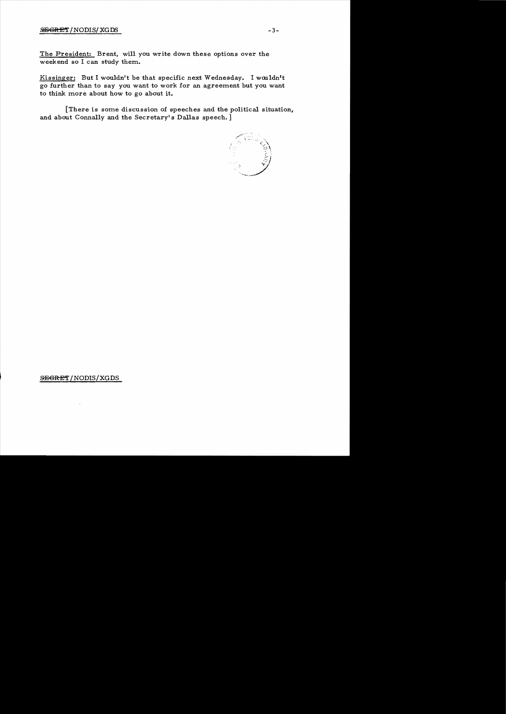## $SEGRET/NODIS/XGDS$   $-3-$

The President: Brent, will you write down these options over the weekend so I can study them.

Kissinger: But I wouldn't be that specific next Wednesday. I wouldn't go further than to say you want to work for an agreement but you want to think more about how to go about it.

[There is some discussion of speeches and the political situation, and about Connally and the Secretary's Dallas speech.]



SEGRET/NODIS/XGDS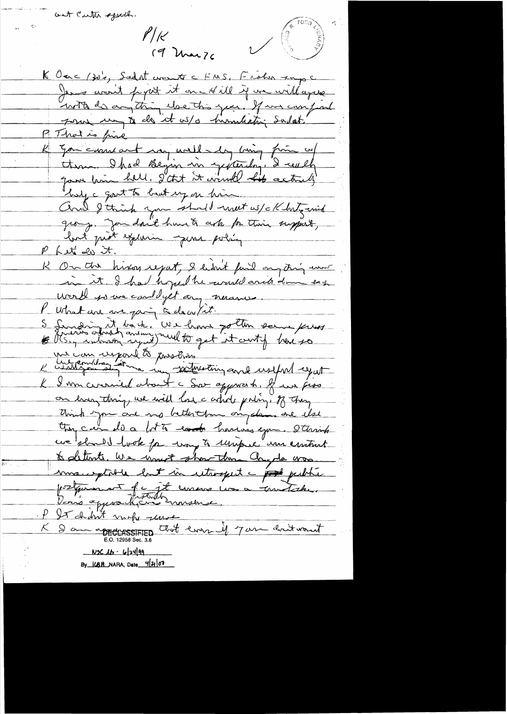ant Carter sport.  $P/k$ 19 Mai 76

**VISCONS** 

K Ourc (30's, Sadat crownter C FMS, Fisher rape Jeans won't perit it on - Hill if we will agree with de anything else this year. If we can find pour un to de it us/o humulation sadat! P That is fine<br>K Jon current au well my bing fin of thom. I had Begin in gepterdag, I certh good him hell. I'dn't it would his actually by a goot to but up on him. Cerel 8 think you should meet us/ckhaterick group. Jou don't have to cep por this support, Phet de it. K On the hiving regast, I hadn't find my thing event in it. I had hoped he would arite down eag worth your couldyst any neron P What are me pain à dans sit.<br>S Sinon atret, We have pollen some pries K I was curried about a Sor opposert. If we pose on han thing, we will lose c and poling. of they Opr car do a lot to conte harris egan. Starinh we should look for way to unique an emtrat to detente. We would show there clayde was maniptable but in utragent a post public postpannent de jet consus un a matishe. P It shirt under server<br>K 9 am appearessiries that every if 7 am decit would  $N5C16.62499$ By KBH NARA, Date 420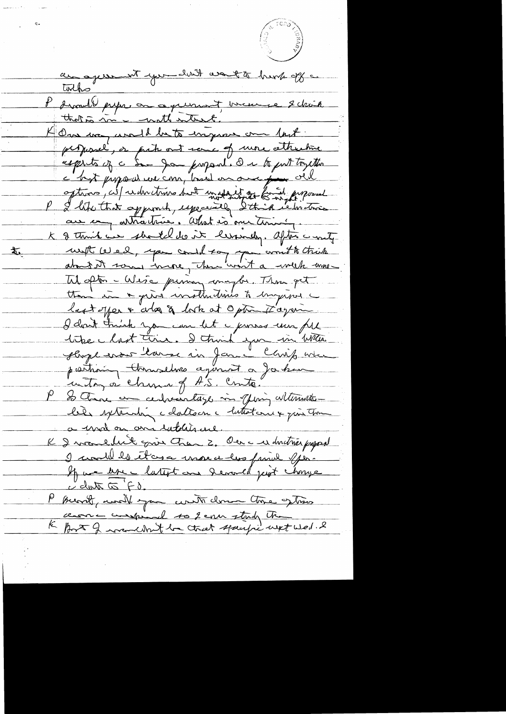an apren to the land want to her offs tothe" P drand le presse on ce que mont, uncere en 2 chain that a more watter to One way would be to inquire one last perpessel, or prite out sence of more attractive esprits of a San Janpord. On to put trycthe c'hat propositione com, based on one pour old options, city videntimes but ingressed to an proposed au com articulaire. What is one time, K & think in shorted do it lessindy. after a mity with wed, you could say you won't to think  $\mathbf{F}^{\dagger}$ about it some incre, there won't a week was Til often - Wesse puning maybe. Then get tten in a quisi instructives to ingered last offer & who & look at Option to again. I don't trink you can let a proves une fil tike hast time. I think you in When sloge erse larse in Jan lavit was partiain thousand agencier a for home in try à china of A.S. Crite. P So there are certainly in offering alternation le de systematique dates en latteste en point tour a mod on an intelligence. K I was eller give them 2. Our a es doutres papas I would be those use it has find you If we let a latent and devand just change P previl unait you write down the getting centre compared to 2 cm study the